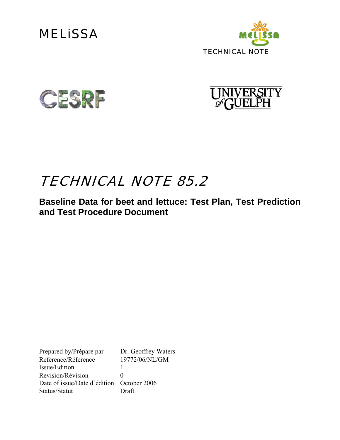







# TECHNICAL NOTE 85.2

**Baseline Data for beet and lettuce: Test Plan, Test Prediction and Test Procedure Document** 

Prepared by/Préparé par Dr. Geoffrey Waters Reference/Réference 19772/06/NL/GM Issue/Edition 1 Revision/Révision 0 Date of issue/Date d'édition October 2006 Status/Statut Draft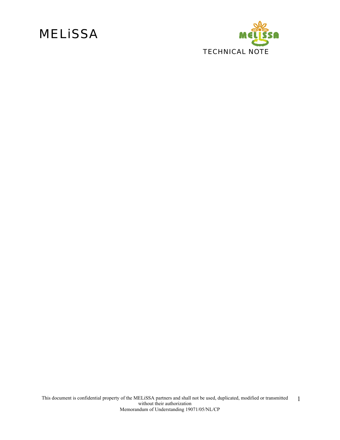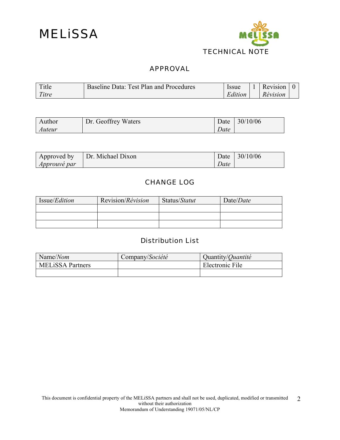



#### APPROVAL

| Title | Baseline Data: Test Plan and Procedures | <b>Issue</b> | Revision |  |
|-------|-----------------------------------------|--------------|----------|--|
| Titre |                                         | Edition      | Révision |  |

| Author | Dr. Geoffrey Waters |      | Date 30/10/06 |
|--------|---------------------|------|---------------|
| Auteur |                     | Date |               |

| Approved by         | Dr. Michael Dixon |      | Date $ 30/10/06 $ |
|---------------------|-------------------|------|-------------------|
| <i>Approuvé par</i> |                   | Date |                   |

#### CHANGE LOG

| Issue/ <i>Edition</i> | Revision/ <i>Révision</i> | Status/Statut | Date/ <i>Date</i> |
|-----------------------|---------------------------|---------------|-------------------|
|                       |                           |               |                   |
|                       |                           |               |                   |
|                       |                           |               |                   |

#### Distribution List

| Name/ $N$ om            | Company/Société | Quantity/ <i>Quantité</i> |
|-------------------------|-----------------|---------------------------|
| <b>MELISSA</b> Partners |                 | Electronic File           |
|                         |                 |                           |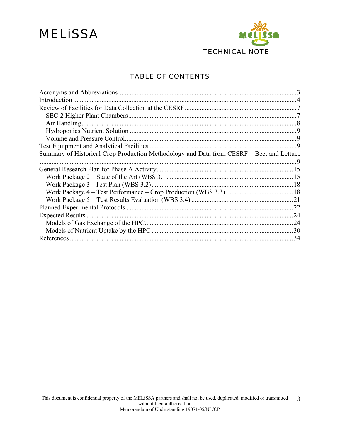### **MELISSA**



#### **TABLE OF CONTENTS**

| Introduction                                                                             |     |
|------------------------------------------------------------------------------------------|-----|
|                                                                                          |     |
|                                                                                          |     |
| Air Handling.                                                                            |     |
|                                                                                          |     |
|                                                                                          |     |
|                                                                                          |     |
| Summary of Historical Crop Production Methodology and Data from CESRF – Beet and Lettuce |     |
|                                                                                          |     |
|                                                                                          |     |
|                                                                                          |     |
|                                                                                          |     |
|                                                                                          |     |
|                                                                                          |     |
|                                                                                          |     |
|                                                                                          |     |
|                                                                                          |     |
|                                                                                          |     |
|                                                                                          | .34 |
|                                                                                          |     |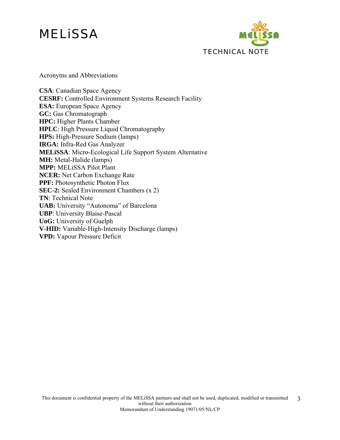<span id="page-4-0"></span>



Acronyms and Abbreviations

**CSA**: Canadian Space Agency **CESRF:** Controlled Environment Systems Research Facility **ESA:** European Space Agency **GC:** Gas Chromatograph **HPC:** Higher Plants Chamber **HPLC**: High Pressure Liquid Chromatography **HPS:** High-Pressure Sodium (lamps) **IRGA:** Infra-Red Gas Analyzer **MELiSSA**: Micro-Ecological Life Support System Alternative **MH:** Metal-Halide (lamps) **MPP:** MELiSSA Pilot Plant **NCER:** Net Carbon Exchange Rate **PPF:** Photosynthetic Photon Flux **SEC-2:** Sealed Environment Chambers (x 2) **TN**: Technical Note **UAB:** University "Autonoma" of Barcelona **UBP**: University Blaise-Pascal **UoG:** University of Guelph **V-HID:** Variable-High-Intensity Discharge (lamps) **VPD:** Vapour Pressure Deficit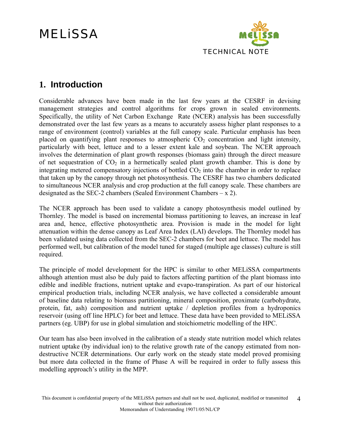

### <span id="page-5-0"></span>**1. Introduction**

Considerable advances have been made in the last few years at the CESRF in devising management strategies and control algorithms for crops grown in sealed environments. Specifically, the utility of Net Carbon Exchange Rate (NCER) analysis has been successfully demonstrated over the last few years as a means to accurately assess higher plant responses to a range of environment (control) variables at the full canopy scale. Particular emphasis has been placed on quantifying plant responses to atmospheric  $CO<sub>2</sub>$  concentration and light intensity, particularly with beet, lettuce and to a lesser extent kale and soybean. The NCER approach involves the determination of plant growth responses (biomass gain) through the direct measure of net sequestration of  $CO<sub>2</sub>$  in a hermetically sealed plant growth chamber. This is done by integrating metered compensatory injections of bottled  $CO<sub>2</sub>$  into the chamber in order to replace that taken up by the canopy through net photosynthesis. The CESRF has two chambers dedicated to simultaneous NCER analysis and crop production at the full canopy scale. These chambers are designated as the SEC-2 chambers (Sealed Environment Chambers –  $x$  2).

The NCER approach has been used to validate a canopy photosynthesis model outlined by Thornley. The model is based on incremental biomass partitioning to leaves, an increase in leaf area and, hence, effective photosynthetic area. Provision is made in the model for light attenuation within the dense canopy as Leaf Area Index (LAI) develops. The Thornley model has been validated using data collected from the SEC-2 chambers for beet and lettuce. The model has performed well, but calibration of the model tuned for staged (multiple age classes) culture is still required.

The principle of model development for the HPC is similar to other MELiSSA compartments although attention must also be duly paid to factors affecting partition of the plant biomass into edible and inedible fractions, nutrient uptake and evapo-transpiration. As part of our historical empirical production trials, including NCER analysis, we have collected a considerable amount of baseline data relating to biomass partitioning, mineral composition, proximate (carbohydrate, protein, fat, ash) composition and nutrient uptake / depletion profiles from a hydroponics reservoir (using off line HPLC) for beet and lettuce. These data have been provided to MELiSSA partners (eg. UBP) for use in global simulation and stoichiometric modelling of the HPC.

Our team has also been involved in the calibration of a steady state nutrition model which relates nutrient uptake (by individual ion) to the relative growth rate of the canopy estimated from nondestructive NCER determinations. Our early work on the steady state model proved promising but more data collected in the frame of Phase A will be required in order to fully assess this modelling approach's utility in the MPP.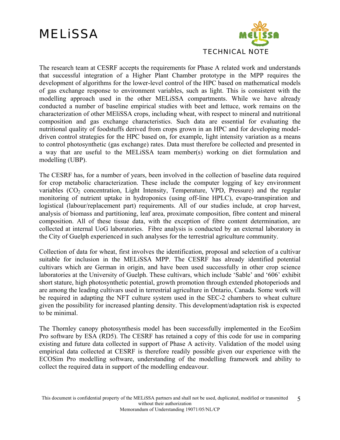

The research team at CESRF accepts the requirements for Phase A related work and understands that successful integration of a Higher Plant Chamber prototype in the MPP requires the development of algorithms for the lower-level control of the HPC based on mathematical models of gas exchange response to environment variables, such as light. This is consistent with the modelling approach used in the other MELiSSA compartments. While we have already conducted a number of baseline empirical studies with beet and lettuce, work remains on the characterization of other MEliSSA crops, including wheat, with respect to mineral and nutritional composition and gas exchange characteristics. Such data are essential for evaluating the nutritional quality of foodstuffs derived from crops grown in an HPC and for developing modeldriven control strategies for the HPC based on, for example, light intensity variation as a means to control photosynthetic (gas exchange) rates. Data must therefore be collected and presented in a way that are useful to the MELiSSA team member(s) working on diet formulation and modelling (UBP).

The CESRF has, for a number of years, been involved in the collection of baseline data required for crop metabolic characterization. These include the computer logging of key environment variables  $(CO<sub>2</sub>$  concentration, Light Intensity, Temperature, VPD, Pressure) and the regular monitoring of nutrient uptake in hydroponics (using off-line HPLC), evapo-transpiration and logistical (labour/replacement part) requirements. All of our studies include, at crop harvest, analysis of biomass and partitioning, leaf area, proximate composition, fibre content and mineral composition. All of these tissue data, with the exception of fibre content determination, are collected at internal UoG laboratories. Fibre analysis is conducted by an external laboratory in the City of Guelph experienced in such analyses for the terrestrial agriculture community.

Collection of data for wheat, first involves the identification, proposal and selection of a cultivar suitable for inclusion in the MELiSSA MPP. The CESRF has already identified potential cultivars which are German in origin, and have been used successfully in other crop science laboratories at the University of Guelph. These cultivars, which include 'Sable' and '606' exhibit short stature, high photosynthetic potential, growth promotion through extended photoperiods and are among the leading cultivars used in terrestrial agriculture in Ontario, Canada. Some work will be required in adapting the NFT culture system used in the SEC-2 chambers to wheat culture given the possibility for increased planting density. This development/adaptation risk is expected to be minimal.

The Thornley canopy photosynthesis model has been successfully implemented in the EcoSim Pro software by ESA (RD5). The CESRF has retained a copy of this code for use in comparing existing and future data collected in support of Phase A activity. Validation of the model using empirical data collected at CESRF is therefore readily possible given our experience with the ECOSim Pro modelling software, understanding of the modelling framework and ability to collect the required data in support of the modelling endeavour.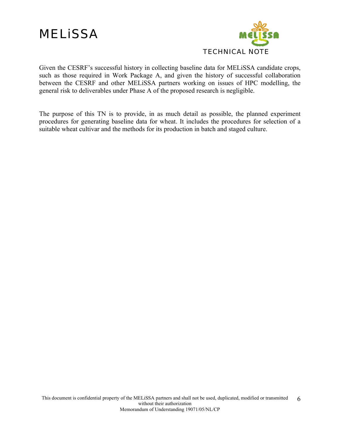

Given the CESRF's successful history in collecting baseline data for MELiSSA candidate crops, such as those required in Work Package A, and given the history of successful collaboration between the CESRF and other MELiSSA partners working on issues of HPC modelling, the general risk to deliverables under Phase A of the proposed research is negligible.

The purpose of this TN is to provide, in as much detail as possible, the planned experiment procedures for generating baseline data for wheat. It includes the procedures for selection of a suitable wheat cultivar and the methods for its production in batch and staged culture.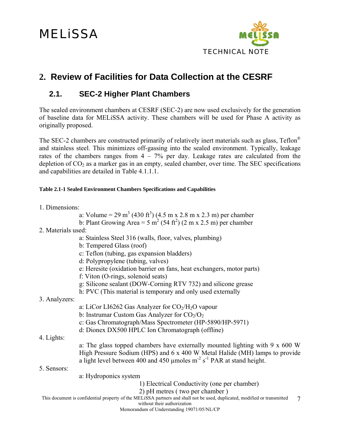

### <span id="page-8-0"></span>**2. Review of Facilities for Data Collection at the CESRF**

### **2.1. SEC-2 Higher Plant Chambers**

The sealed environment chambers at CESRF (SEC-2) are now used exclusively for the generation of baseline data for MELiSSA activity. These chambers will be used for Phase A activity as originally proposed.

The SEC-2 chambers are constructed primarily of relatively inert materials such as glass, Teflon<sup>®</sup> and stainless steel. This minimizes off-gassing into the sealed environment. Typically, leakage rates of the chambers ranges from  $4 - 7\%$  per day. Leakage rates are calculated from the depletion of  $CO<sub>2</sub>$  as a marker gas in an empty, sealed chamber, over time. The SEC specifications and capabilities are detailed in Table 4.1.1.1.

#### **Table 2.1-1 Sealed Environment Chambers Specifications and Capabilities**

1. Dimensions:

|  | a: Volume = $29 \text{ m}^3 (430 \text{ ft}^3) (4.5 \text{ m} \times 2.8 \text{ m} \times 2.3 \text{ m})$ per chamber |  |
|--|-----------------------------------------------------------------------------------------------------------------------|--|
|--|-----------------------------------------------------------------------------------------------------------------------|--|

- b: Plant Growing Area =  $5 \text{ m}^2 (54 \text{ ft}^2) (2 \text{ m} \times 2.5 \text{ m})$  per chamber
- 2. Materials used:

a: Stainless Steel 316 (walls, floor, valves, plumbing)

b: Tempered Glass (roof)

c: Teflon (tubing, gas expansion bladders)

- d: Polypropylene (tubing, valves)
- e: Heresite (oxidation barrier on fans, heat exchangers, motor parts)
- f: Viton (O-rings, solenoid seats)
- g: Silicone sealant (DOW-Corning RTV 732) and silicone grease
- h: PVC (This material is temporary and only used externally

3. Analyzers:

a: LiCor LI6262 Gas Analyzer for  $CO<sub>2</sub>/H<sub>2</sub>O$  vapour

- b: Instrumar Custom Gas Analyzer for  $CO<sub>2</sub>/O<sub>2</sub>$
- c: Gas Chromatograph/Mass Spectrometer (HP-5890/HP-5971)
- d: Dionex DX500 HPLC Ion Chromatograph (offline)
- 4. Lights:

a: The glass topped chambers have externally mounted lighting with 9 x 600 W High Pressure Sodium (HPS) and 6 x 400 W Metal Halide (MH) lamps to provide a light level between 400 and 450 µmoles  $m^2 s^{-1}$  PAR at stand height.

- 5. Sensors:
- a: Hydroponics system

1) Electrical Conductivity (one per chamber)

2) pH metres ( two per chamber )

This document is confidential property of the MELiSSA partners and shall not be used, duplicated, modified or transmitted without their authorization 7

Memorandum of Understanding 19071/05/NL/CP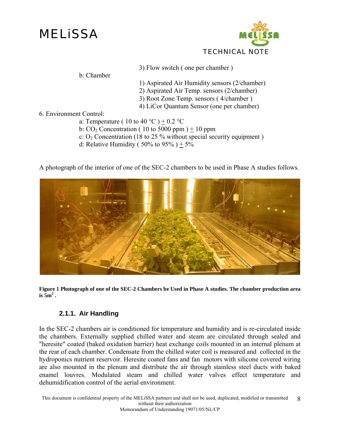<span id="page-9-0"></span>



3) Flow switch ( one per chamber )

b: Chamber

1) Aspirated Air Humidity sensors (2/chamber)

2) Aspirated Air Temp. sensors (2/chamber)

3) Root Zone Temp. sensors ( 4/chamber )

4) LiCor Quantum Sensor (one per chamber)

6. Environment Control:

- a: Temperature ( $10$  to  $40^{\circ}$ C) +  $0.2^{\circ}$ C
- b:  $CO<sub>2</sub>$  Concentration (10 to 5000 ppm) + 10 ppm
- c:  $O_2$  Concentration (18 to 25 % without special security equipment)
- d: Relative Humidity ( $50\%$  to  $95\%$ ) +  $5\%$

A photograph of the interior of one of the SEC-2 chambers to be used in Phase A studies follows.



**Figure 1 Photograph of one of the SEC-2 Chambers be Used in Phase A studies. The chamber production area**   $\overline{\mathbf{5}}$ **m**<sup>2</sup>.

#### **2.1.1. Air Handling**

In the SEC-2 chambers air is conditioned for temperature and humidity and is re-circulated inside the chambers. Externally supplied chilled water and steam are circulated through sealed and "heresite" coated (baked oxidation barrier) heat exchange coils mounted in an internal plenum at the rear of each chamber. Condensate from the chilled water coil is measured and collected in the hydroponics nutrient reservoir. Heresite coated fans and fan motors with silicone covered wiring are also mounted in the plenum and distribute the air through stainless steel ducts with baked enamel louvres. Modulated steam and chilled water valves effect temperature and dehumidification control of the aerial environment.

This document is confidential property of the MELiSSA partners and shall not be used, duplicated, modified or transmitted without their authorization Memorandum of Understanding 19071/05/NL/CP 8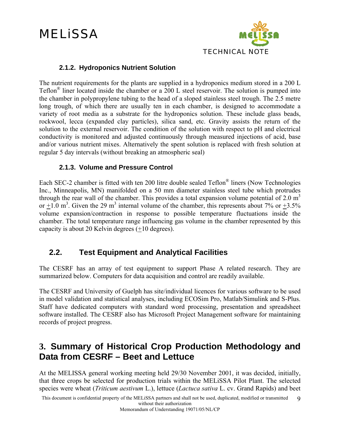

#### <span id="page-10-0"></span>**2.1.2. Hydroponics Nutrient Solution**

The nutrient requirements for the plants are supplied in a hydroponics medium stored in a 200 L Teflon® liner located inside the chamber or a 200 L steel reservoir. The solution is pumped into the chamber in polypropylene tubing to the head of a sloped stainless steel trough. The 2.5 metre long trough, of which there are usually ten in each chamber, is designed to accommodate a variety of root media as a substrate for the hydroponics solution. These include glass beads, rockwool, lecca (expanded clay particles), silica sand, etc. Gravity assists the return of the solution to the external reservoir. The condition of the solution with respect to pH and electrical conductivity is monitored and adjusted continuously through measured injections of acid, base and/or various nutrient mixes. Alternatively the spent solution is replaced with fresh solution at regular 5 day intervals (without breaking an atmospheric seal)

#### **2.1.3. Volume and Pressure Control**

Each SEC-2 chamber is fitted with ten 200 litre double sealed Teflon® liners (Now Technologies Inc., Minneapolis, MN) manifolded on a 50 mm diameter stainless steel tube which protrudes through the rear wall of the chamber. This provides a total expansion volume potential of 2.0  $m<sup>3</sup>$ or  $\pm 1.0$  m<sup>3</sup>. Given the 29 m<sup>3</sup> internal volume of the chamber, this represents about 7% or  $\pm 3.5$ % volume expansion/contraction in response to possible temperature fluctuations inside the chamber. The total temperature range influencing gas volume in the chamber represented by this capacity is about 20 Kelvin degrees (+10 degrees).

### **2.2. Test Equipment and Analytical Facilities**

The CESRF has an array of test equipment to support Phase A related research. They are summarized below. Computers for data acquisition and control are readily available.

The CESRF and University of Guelph has site/individual licences for various software to be used in model validation and statistical analyses, including ECOSim Pro, Matlab/Simulink and S-Plus. Staff have dedicated computers with standard word processing, presentation and spreadsheet software installed. The CESRF also has Microsoft Project Management software for maintaining records of project progress.

### **3. Summary of Historical Crop Production Methodology and Data from CESRF – Beet and Lettuce**

At the MELISSA general working meeting held 29/30 November 2001, it was decided, initially, that three crops be selected for production trials within the MELiSSA Pilot Plant. The selected species were wheat (*Triticum aestivum* L.), lettuce (*Lactuca sativa* L. cv. Grand Rapids) and beet

This document is confidential property of the MELiSSA partners and shall not be used, duplicated, modified or transmitted without their authorization  $\mathbf Q$ 

Memorandum of Understanding 19071/05/NL/CP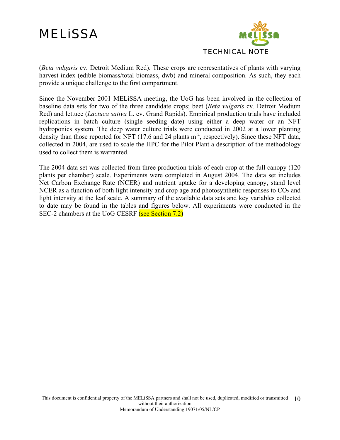

(*Beta vulgaris* cv*.* Detroit Medium Red). These crops are representatives of plants with varying harvest index (edible biomass/total biomass, dwb) and mineral composition. As such, they each provide a unique challenge to the first compartment.

Since the November 2001 MELiSSA meeting, the UoG has been involved in the collection of baseline data sets for two of the three candidate crops; beet (*Beta vulgaris* cv*.* Detroit Medium Red) and lettuce (*Lactuca sativa* L. cv. Grand Rapids). Empirical production trials have included replications in batch culture (single seeding date) using either a deep water or an NFT hydroponics system. The deep water culture trials were conducted in 2002 at a lower planting density than those reported for NFT (17.6 and 24 plants m<sup>-2</sup>, respectively). Since these NFT data, collected in 2004, are used to scale the HPC for the Pilot Plant a description of the methodology used to collect them is warranted.

The 2004 data set was collected from three production trials of each crop at the full canopy (120 plants per chamber) scale. Experiments were completed in August 2004. The data set includes Net Carbon Exchange Rate (NCER) and nutrient uptake for a developing canopy, stand level NCER as a function of both light intensity and crop age and photosynthetic responses to  $CO<sub>2</sub>$  and light intensity at the leaf scale. A summary of the available data sets and key variables collected to date may be found in the tables and figures below. All experiments were conducted in the SEC-2 chambers at the UoG CESRF (see Section 7.2)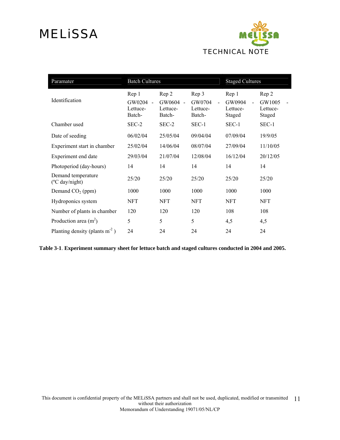

| Paramater                                     | <b>Batch Cultures</b>                   |                                         | <b>Staged Cultures</b>                                  |                                                         |                                       |
|-----------------------------------------------|-----------------------------------------|-----------------------------------------|---------------------------------------------------------|---------------------------------------------------------|---------------------------------------|
| Identification                                | Rep 1<br>GW0204 -<br>Lettuce-<br>Batch- | Rep 2<br>GW0604 -<br>Lettuce-<br>Batch- | Rep 3<br>GW0704<br>$\overline{a}$<br>Lettuce-<br>Batch- | Rep 1<br>GW0904<br>$\blacksquare$<br>Lettuce-<br>Staged | Rep 2<br>GW1005<br>Lettuce-<br>Staged |
| Chamber used                                  | SEC-2                                   | SEC-2                                   | SEC-1                                                   | SEC-1                                                   | SEC-1                                 |
| Date of seeding                               | 06/02/04                                | 25/05/04                                | 09/04/04                                                | 07/09/04                                                | 19/9/05                               |
| Experiment start in chamber                   | 25/02/04                                | 14/06/04                                | 08/07/04                                                | 27/09/04                                                | 11/10/05                              |
| Experiment end date                           | 29/03/04                                | 21/07/04                                | 12/08/04                                                | 16/12/04                                                | 20/12/05                              |
| Photoperiod (day-hours)                       | 14                                      | 14                                      | 14                                                      | 14                                                      | 14                                    |
| Demand temperature<br>$(^{\circ}C$ day/night) | 25/20                                   | 25/20                                   | 25/20                                                   | 25/20                                                   | 25/20                                 |
| Demand $CO2$ (ppm)                            | 1000                                    | 1000                                    | 1000                                                    | 1000                                                    | 1000                                  |
| Hydroponics system                            | <b>NFT</b>                              | <b>NFT</b>                              | <b>NFT</b>                                              | <b>NFT</b>                                              | <b>NFT</b>                            |
| Number of plants in chamber                   | 120                                     | 120                                     | 120                                                     | 108                                                     | 108                                   |
| Production area $(m2)$                        | 5                                       | 5                                       | 5                                                       | 4,5                                                     | 4,5                                   |
| Planting density (plants $m-2$ )              | 24                                      | 24                                      | 24                                                      | 24                                                      | 24                                    |

**Table 3-1**. **Experiment summary sheet for lettuce batch and staged cultures conducted in 2004 and 2005.**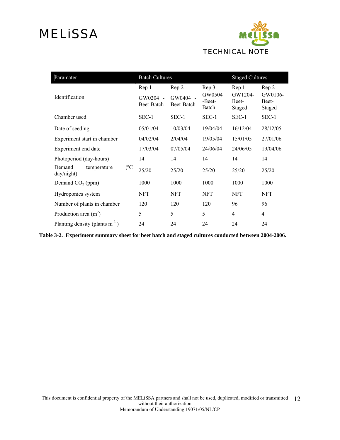

| Paramater                                            | <b>Batch Cultures</b>  |                        |                           | <b>Staged Cultures</b>     |                            |
|------------------------------------------------------|------------------------|------------------------|---------------------------|----------------------------|----------------------------|
|                                                      | Rep 1                  | Rep 2                  | Rep 3                     | Rep 1                      | Rep 2                      |
| Identification                                       | GW0204 -<br>Beet-Batch | GW0404 -<br>Beet-Batch | GW0504<br>-Beet-<br>Batch | GW1204-<br>Beet-<br>Staged | GW0106-<br>Beet-<br>Staged |
| Chamber used                                         | SEC-1                  | SEC-1                  | SEC-1                     | $SEC-1$                    | $SEC-1$                    |
| Date of seeding                                      | 05/01/04               | 10/03/04               | 19/04/04                  | 16/12/04                   | 28/12/05                   |
| Experiment start in chamber                          | 04/02/04               | 2/04/04                | 19/05/04                  | 15/01/05                   | 27/01/06                   |
| Experiment end date                                  | 17/03/04               | 07/05/04               | 24/06/04                  | 24/06/05                   | 19/04/06                   |
| Photoperiod (day-hours)                              | 14                     | 14                     | 14                        | 14                         | 14                         |
| $(^{\circ}C)$<br>Demand<br>temperature<br>day/night) | 25/20                  | 25/20                  | 25/20                     | 25/20                      | 25/20                      |
| Demand $CO2$ (ppm)                                   | 1000                   | 1000                   | 1000                      | 1000                       | 1000                       |
| Hydroponics system                                   | <b>NFT</b>             | <b>NFT</b>             | <b>NFT</b>                | <b>NFT</b>                 | <b>NFT</b>                 |
| Number of plants in chamber                          | 120                    | 120                    | 120                       | 96                         | 96                         |
| Production area $(m2)$                               | 5                      | 5                      | 5                         | $\overline{4}$             | $\overline{4}$             |
| Planting density (plants $m-2$ )                     | 24                     | 24                     | 24                        | 24                         | 24                         |

**Table 3-2.** .**Experiment summary sheet for beet batch and staged cultures conducted between 2004-2006.**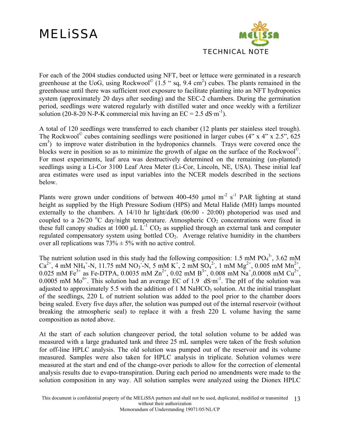

For each of the 2004 studies conducted using NFT, beet or lettuce were germinated in a research greenhouse at the UoG, using Rockwool<sup> $\degree$ </sup> (1.5  $\degree$  sq, 9.4 cm<sup>2</sup>) cubes. The plants remained in the greenhouse until there was sufficient root exposure to facilitate planting into an NFT hydroponics system (approximately 20 days after seeding) and the SEC-2 chambers. During the germination period, seedlings were watered regularly with distilled water and once weekly with a fertilizer solution (20-8-20 N-P-K commercial mix having an  $EC = 2.5$  dS·m<sup>-1</sup>).

A total of 120 seedlings were transferred to each chamber (12 plants per stainless steel trough). The Rockwool<sup> $\degree$ </sup> cubes containing seedlings were positioned in larger cubes (4" x 4" x 2.5", 625 cm<sup>3</sup>) to improve water distribution in the hydroponics channels. Trays were covered once the blocks were in position so as to minimize the growth of algae on the surface of the Rockwool©. For most experiments, leaf area was destructively determined on the remaining (un-planted) seedlings using a Li-Cor 3100 Leaf Area Meter (Li-Cor, Lincoln, NE, USA). These initial leaf area estimates were used as input variables into the NCER models described in the sections below.

Plants were grown under conditions of between 400-450  $\mu$ mol m<sup>-2</sup> s<sup>-1</sup> PAR lighting at stand height as supplied by the High Pressure Sodium (HPS) and Metal Halide (MH) lamps mounted externally to the chambers. A 14/10 hr light/dark (06:00 - 20:00) photoperiod was used and coupled to a 26/20 °C day/night temperature. Atmospheric  $CO_2$  concentrations were fixed in these full canopy studies at 1000  $\mu$ L L<sup>-1</sup> CO<sub>2</sub> as supplied through an external tank and computer regulated compensatory system using bottled  $CO<sub>2</sub>$ . Average relative humidity in the chambers over all replications was  $73\% \pm 5\%$  with no active control.

The nutrient solution used in this study had the following composition: 1.5 mM  $PO<sub>4</sub><sup>3</sup>$ , 3.62 mM  $Ca^{2+}$ , 4 mM NH<sub>4</sub><sup>+</sup>-N, 11.75 mM NO<sub>3</sub>-N, 5 mM K<sup>+</sup>, 2 mM SO<sub>4</sub><sup>2-</sup>, 1 mM Mg<sup>2+</sup>, 0.005 mM Mn<sup>2+</sup>, 0.025 mM Fe<sup>3+</sup> as Fe-DTPA, 0.0035 mM  $\text{Zn}^{2+}$ , 0.02 mM  $\text{B}^{3+}$ , 0.008 mM  $\text{Na}^+$ , 0.0008 mM  $\text{Cu}^{2+}$ , 0.0005 mM  $Mo<sup>6+</sup>$ . This solution had an average EC of 1.9 dS·m<sup>-1</sup>. The pH of the solution was adjusted to approximately 5.5 with the addition of 1 M NaHCO<sub>3</sub> solution. At the initial transplant of the seedlings, 220 L of nutrient solution was added to the pool prior to the chamber doors being sealed. Every five days after, the solution was pumped out of the internal reservoir (without breaking the atmospheric seal) to replace it with a fresh 220 L volume having the same composition as noted above.

At the start of each solution changeover period, the total solution volume to be added was measured with a large graduated tank and three 25 mL samples were taken of the fresh solution for off-line HPLC analysis. The old solution was pumped out of the reservoir and its volume measured. Samples were also taken for HPLC analysis in triplicate. Solution volumes were measured at the start and end of the change-over periods to allow for the correction of elemental analysis results due to evapo-transpiration. During each period no amendments were made to the solution composition in any way. All solution samples were analyzed using the Dionex HPLC

This document is confidential property of the MELiSSA partners and shall not be used, duplicated, modified or transmitted 13 without their authorization Memorandum of Understanding 19071/05/NL/CP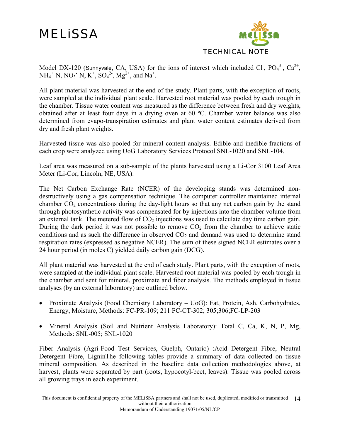

Model DX-120 (Sunnyvale, CA, USA) for the ions of interest which included Cl,  $PO_4^3$ ,  $Ca^{2+}$ ,  $NH_4^+$ -N, NO<sub>3</sub> -N, K<sup>+</sup>, SO<sub>4</sub><sup>2</sup><sup>-</sup>, Mg<sup>2+</sup>, and Na<sup>+</sup>.

All plant material was harvested at the end of the study. Plant parts, with the exception of roots, were sampled at the individual plant scale. Harvested root material was pooled by each trough in the chamber. Tissue water content was measured as the difference between fresh and dry weights, obtained after at least four days in a drying oven at 60 ºC. Chamber water balance was also determined from evapo-transpiration estimates and plant water content estimates derived from dry and fresh plant weights.

Harvested tissue was also pooled for mineral content analysis. Edible and inedible fractions of each crop were analyzed using UoG Laboratory Services Protocol SNL-1020 and SNL-104.

Leaf area was measured on a sub-sample of the plants harvested using a Li-Cor 3100 Leaf Area Meter (Li-Cor, Lincoln, NE, USA).

The Net Carbon Exchange Rate (NCER) of the developing stands was determined nondestructively using a gas compensation technique. The computer controller maintained internal chamber  $CO<sub>2</sub>$  concentrations during the day-light hours so that any net carbon gain by the stand through photosynthetic activity was compensated for by injections into the chamber volume from an external tank. The metered flow of  $CO<sub>2</sub>$  injections was used to calculate day time carbon gain. During the dark period it was not possible to remove  $CO<sub>2</sub>$  from the chamber to achieve static conditions and as such the difference in observed  $CO<sub>2</sub>$  and demand was used to determine stand respiration rates (expressed as negative NCER). The sum of these signed NCER estimates over a 24 hour period (in moles C) yielded daily carbon gain (DCG).

All plant material was harvested at the end of each study. Plant parts, with the exception of roots, were sampled at the individual plant scale. Harvested root material was pooled by each trough in the chamber and sent for mineral, proximate and fiber analysis. The methods employed in tissue analyses (by an external laboratory) are outlined below.

- Proximate Analysis (Food Chemistry Laboratory UoG): Fat, Protein, Ash, Carbohydrates, Energy, Moisture, Methods: FC-PR-109; 211 FC-CT-302; 305;306;FC-LP-203
- Mineral Analysis (Soil and Nutrient Analysis Laboratory): Total C, Ca, K, N, P, Mg, Methods: SNL-005; SNL-1020

Fiber Analysis (Agri-Food Test Services, Guelph, Ontario) :Acid Detergent Fibre, Neutral Detergent Fibre, LigninThe following tables provide a summary of data collected on tissue mineral composition. As described in the baseline data collection methodologies above, at harvest, plants were separated by part (roots, hypocotyl-beet, leaves). Tissue was pooled across all growing trays in each experiment.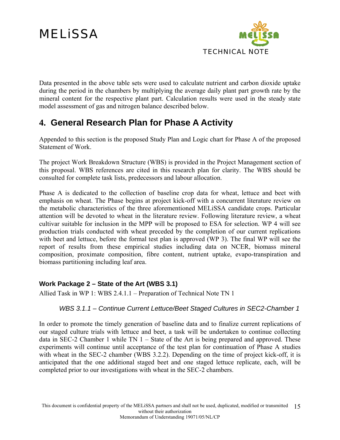<span id="page-16-0"></span>



Data presented in the above table sets were used to calculate nutrient and carbon dioxide uptake during the period in the chambers by multiplying the average daily plant part growth rate by the mineral content for the respective plant part. Calculation results were used in the steady state model assessment of gas and nitrogen balance described below.

### **4. General Research Plan for Phase A Activity**

Appended to this section is the proposed Study Plan and Logic chart for Phase A of the proposed Statement of Work.

The project Work Breakdown Structure (WBS) is provided in the Project Management section of this proposal. WBS references are cited in this research plan for clarity. The WBS should be consulted for complete task lists, predecessors and labour allocation.

Phase A is dedicated to the collection of baseline crop data for wheat, lettuce and beet with emphasis on wheat. The Phase begins at project kick-off with a concurrent literature review on the metabolic characteristics of the three aforementioned MELiSSA candidate crops. Particular attention will be devoted to wheat in the literature review. Following literature review, a wheat cultivar suitable for inclusion in the MPP will be proposed to ESA for selection. WP 4 will see production trials conducted with wheat preceded by the completion of our current replications with beet and lettuce, before the formal test plan is approved (WP 3). The final WP will see the report of results from these empirical studies including data on NCER, biomass mineral composition, proximate composition, fibre content, nutrient uptake, evapo-transpiration and biomass partitioning including leaf area.

#### **Work Package 2 – State of the Art (WBS 3.1)**

Allied Task in WP 1: WBS 2.4.1.1 – Preparation of Technical Note TN 1

#### *WBS 3.1.1 – Continue Current Lettuce/Beet Staged Cultures in SEC2-Chamber 1*

In order to promote the timely generation of baseline data and to finalize current replications of our staged culture trials with lettuce and beet, a task will be undertaken to continue collecting data in SEC-2 Chamber 1 while TN 1 – State of the Art is being prepared and approved. These experiments will continue until acceptance of the test plan for continuation of Phase A studies with wheat in the SEC-2 chamber (WBS 3.2.2). Depending on the time of project kick-off, it is anticipated that the one additional staged beet and one staged lettuce replicate, each, will be completed prior to our investigations with wheat in the SEC-2 chambers.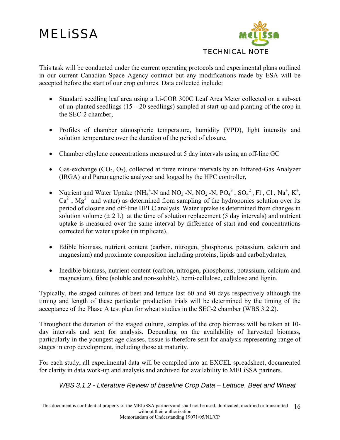

This task will be conducted under the current operating protocols and experimental plans outlined in our current Canadian Space Agency contract but any modifications made by ESA will be accepted before the start of our crop cultures. Data collected include:

- Standard seedling leaf area using a Li-COR 300C Leaf Area Meter collected on a sub-set of un-planted seedlings  $(15 – 20$  seedlings) sampled at start-up and planting of the crop in the SEC-2 chamber,
- Profiles of chamber atmospheric temperature, humidity (VPD), light intensity and solution temperature over the duration of the period of closure,
- Chamber ethylene concentrations measured at 5 day intervals using an off-line GC
- Gas-exchange  $(CO_2, O_2)$ , collected at three minute intervals by an Infrared-Gas Analyzer (IRGA) and Paramagnetic analyzer and logged by the HPC controller,
- Nutrient and Water Uptake  $(NH_4^+$ -N and  $NO_3^-$ -N,  $NO_2^-$ -N,  $PO_4^3$ -,  $SO_4^2$ -, Fl, Cl, Na<sup>+</sup>, K<sup>+</sup>,  $Ca^{2+}$ , Mg<sup>2+</sup> and water) as determined from sampling of the hydroponics solution over its period of closure and off-line HPLC analysis. Water uptake is determined from changes in solution volume  $(\pm 2 L)$  at the time of solution replacement (5 day intervals) and nutrient uptake is measured over the same interval by difference of start and end concentrations corrected for water uptake (in triplicate),
- Edible biomass, nutrient content (carbon, nitrogen, phosphorus, potassium, calcium and magnesium) and proximate composition including proteins, lipids and carbohydrates,
- Inedible biomass, nutrient content (carbon, nitrogen, phosphorus, potassium, calcium and magnesium), fibre (soluble and non-soluble), hemi-cellulose, cellulose and lignin.

Typically, the staged cultures of beet and lettuce last 60 and 90 days respectively although the timing and length of these particular production trials will be determined by the timing of the acceptance of the Phase A test plan for wheat studies in the SEC-2 chamber (WBS 3.2.2).

Throughout the duration of the staged culture, samples of the crop biomass will be taken at 10 day intervals and sent for analysis. Depending on the availability of harvested biomass, particularly in the youngest age classes, tissue is therefore sent for analysis representing range of stages in crop development, including those at maturity.

For each study, all experimental data will be compiled into an EXCEL spreadsheet, documented for clarity in data work-up and analysis and archived for availability to MELiSSA partners.

#### *WBS 3.1.2 - Literature Review of baseline Crop Data – Lettuce, Beet and Wheat*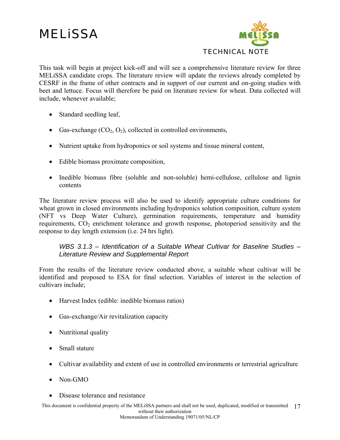

This task will begin at project kick-off and will see a comprehensive literature review for three MELiSSA candidate crops. The literature review will update the reviews already completed by CESRF in the frame of other contracts and in support of our current and on-going studies with beet and lettuce. Focus will therefore be paid on literature review for wheat. Data collected will include, whenever available;

- Standard seedling leaf,
- Gas-exchange  $(CO_2, O_2)$ , collected in controlled environments,
- Nutrient uptake from hydroponics or soil systems and tissue mineral content,
- Edible biomass proximate composition,
- Inedible biomass fibre (soluble and non-soluble) hemi-cellulose, cellulose and lignin contents

The literature review process will also be used to identify appropriate culture conditions for wheat grown in closed environments including hydroponics solution composition, culture system (NFT vs Deep Water Culture), germination requirements, temperature and humidity requirements,  $CO<sub>2</sub>$  enrichment tolerance and growth response, photoperiod sensitivity and the response to day length extension (i.e. 24 hrs light).

#### *WBS 3.1.3 – Identification of a Suitable Wheat Cultivar for Baseline Studies – Literature Review and Supplemental Report*

From the results of the literature review conducted above, a suitable wheat cultivar will be identified and proposed to ESA for final selection. Variables of interest in the selection of cultivars include;

- Harvest Index (edible: inedible biomass ratios)
- Gas-exchange/Air revitalization capacity
- Nutritional quality
- Small stature
- Cultivar availability and extent of use in controlled environments or terrestrial agriculture
- Non-GMO
- Disease tolerance and resistance

This document is confidential property of the MELiSSA partners and shall not be used, duplicated, modified or transmitted 17 without their authorization Memorandum of Understanding 19071/05/NL/CP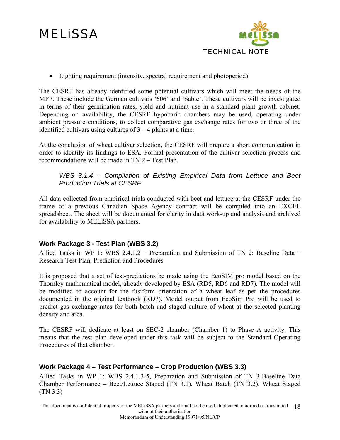

<span id="page-19-0"></span>• Lighting requirement (intensity, spectral requirement and photoperiod)

The CESRF has already identified some potential cultivars which will meet the needs of the MPP. These include the German cultivars '606' and 'Sable'. These cultivars will be investigated in terms of their germination rates, yield and nutrient use in a standard plant growth cabinet. Depending on availability, the CESRF hypobaric chambers may be used, operating under ambient pressure conditions, to collect comparative gas exchange rates for two or three of the identified cultivars using cultures of 3 – 4 plants at a time.

At the conclusion of wheat cultivar selection, the CESRF will prepare a short communication in order to identify its findings to ESA. Formal presentation of the cultivar selection process and recommendations will be made in TN 2 – Test Plan.

*WBS 3.1.4 – Compilation of Existing Empirical Data from Lettuce and Beet Production Trials at CESRF* 

All data collected from empirical trials conducted with beet and lettuce at the CESRF under the frame of a previous Canadian Space Agency contract will be compiled into an EXCEL spreadsheet. The sheet will be documented for clarity in data work-up and analysis and archived for availability to MELiSSA partners.

#### **Work Package 3 - Test Plan (WBS 3.2)**

Allied Tasks in WP 1: WBS 2.4.1.2 – Preparation and Submission of TN 2: Baseline Data – Research Test Plan, Prediction and Procedures

It is proposed that a set of test-predictions be made using the EcoSIM pro model based on the Thornley mathematical model, already developed by ESA (RD5, RD6 and RD7). The model will be modified to account for the fusiform orientation of a wheat leaf as per the procedures documented in the original textbook (RD7). Model output from EcoSim Pro will be used to predict gas exchange rates for both batch and staged culture of wheat at the selected planting density and area.

The CESRF will dedicate at least on SEC-2 chamber (Chamber 1) to Phase A activity. This means that the test plan developed under this task will be subject to the Standard Operating Procedures of that chamber.

#### **Work Package 4 – Test Performance – Crop Production (WBS 3.3)**

Allied Tasks in WP 1: WBS 2.4.1.3-5, Preparation and Submission of TN 3-Baseline Data Chamber Performance – Beet/Lettuce Staged (TN 3.1), Wheat Batch (TN 3.2), Wheat Staged (TN 3.3)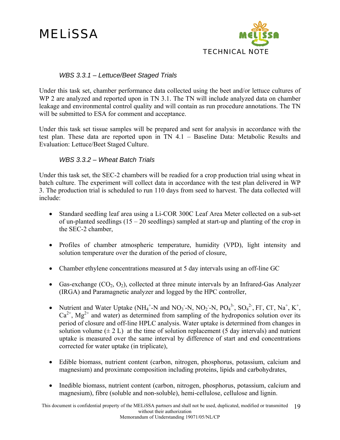

#### *WBS 3.3.1 – Lettuce/Beet Staged Trials*

Under this task set, chamber performance data collected using the beet and/or lettuce cultures of WP 2 are analyzed and reported upon in TN 3.1. The TN will include analyzed data on chamber leakage and environmental control quality and will contain as run procedure annotations. The TN will be submitted to ESA for comment and acceptance.

Under this task set tissue samples will be prepared and sent for analysis in accordance with the test plan. These data are reported upon in TN 4.1 – Baseline Data: Metabolic Results and Evaluation: Lettuce/Beet Staged Culture.

#### *WBS 3.3.2 – Wheat Batch Trials*

Under this task set, the SEC-2 chambers will be readied for a crop production trial using wheat in batch culture. The experiment will collect data in accordance with the test plan delivered in WP 3. The production trial is scheduled to run 110 days from seed to harvest. The data collected will include:

- Standard seedling leaf area using a Li-COR 300C Leaf Area Meter collected on a sub-set of un-planted seedlings  $(15 - 20$  seedlings) sampled at start-up and planting of the crop in the SEC-2 chamber,
- Profiles of chamber atmospheric temperature, humidity (VPD), light intensity and solution temperature over the duration of the period of closure,
- Chamber ethylene concentrations measured at 5 day intervals using an off-line GC
- Gas-exchange  $(CO_2, O_2)$ , collected at three minute intervals by an Infrared-Gas Analyzer (IRGA) and Paramagnetic analyzer and logged by the HPC controller,
- Nutrient and Water Uptake  $(NH_4^+$ -N and  $NO_3^-$ -N,  $NO_2^-$ -N,  $PO_4^3$ -,  $SO_4^2$ -, Fl, Cl, Na<sup>+</sup>, K<sup>+</sup>,  $Ca^{2+}$ , Mg<sup>2+</sup> and water) as determined from sampling of the hydroponics solution over its period of closure and off-line HPLC analysis. Water uptake is determined from changes in solution volume  $(\pm 2 L)$  at the time of solution replacement (5 day intervals) and nutrient uptake is measured over the same interval by difference of start and end concentrations corrected for water uptake (in triplicate),
- Edible biomass, nutrient content (carbon, nitrogen, phosphorus, potassium, calcium and magnesium) and proximate composition including proteins, lipids and carbohydrates,
- Inedible biomass, nutrient content (carbon, nitrogen, phosphorus, potassium, calcium and magnesium), fibre (soluble and non-soluble), hemi-cellulose, cellulose and lignin.

This document is confidential property of the MELiSSA partners and shall not be used, duplicated, modified or transmitted 19 without their authorization Memorandum of Understanding 19071/05/NL/CP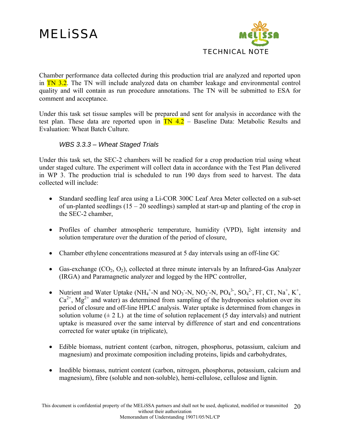



Chamber performance data collected during this production trial are analyzed and reported upon in TN 3.2. The TN will include analyzed data on chamber leakage and environmental control quality and will contain as run procedure annotations. The TN will be submitted to ESA for comment and acceptance.

Under this task set tissue samples will be prepared and sent for analysis in accordance with the test plan. These data are reported upon in  $TN$  4.2 – Baseline Data: Metabolic Results and Evaluation: Wheat Batch Culture.

*WBS 3.3.3 – Wheat Staged Trials* 

Under this task set, the SEC-2 chambers will be readied for a crop production trial using wheat under staged culture. The experiment will collect data in accordance with the Test Plan delivered in WP 3. The production trial is scheduled to run 190 days from seed to harvest. The data collected will include:

- Standard seedling leaf area using a Li-COR 300C Leaf Area Meter collected on a sub-set of un-planted seedlings  $(15 - 20$  seedlings) sampled at start-up and planting of the crop in the SEC-2 chamber,
- Profiles of chamber atmospheric temperature, humidity (VPD), light intensity and solution temperature over the duration of the period of closure,
- Chamber ethylene concentrations measured at 5 day intervals using an off-line GC
- Gas-exchange  $(CO_2, O_2)$ , collected at three minute intervals by an Infrared-Gas Analyzer (IRGA) and Paramagnetic analyzer and logged by the HPC controller,
- Nutrient and Water Uptake (NH<sub>4</sub><sup>+</sup>-N and NO<sub>3</sub><sup>-</sup>-N, NO<sub>2</sub><sup>-</sup>N, PO<sub>4</sub><sup>3-</sup>, SO<sub>4</sub><sup>2-</sup>, Fl<sup>-</sup>, Cl<sup>-</sup>, Na<sup>+</sup>, K<sup>+</sup>,  $Ca^{2+}$ , Mg<sup>2+</sup> and water) as determined from sampling of the hydroponics solution over its period of closure and off-line HPLC analysis. Water uptake is determined from changes in solution volume  $(\pm 2 L)$  at the time of solution replacement (5 day intervals) and nutrient uptake is measured over the same interval by difference of start and end concentrations corrected for water uptake (in triplicate),
- Edible biomass, nutrient content (carbon, nitrogen, phosphorus, potassium, calcium and magnesium) and proximate composition including proteins, lipids and carbohydrates,
- Inedible biomass, nutrient content (carbon, nitrogen, phosphorus, potassium, calcium and magnesium), fibre (soluble and non-soluble), hemi-cellulose, cellulose and lignin.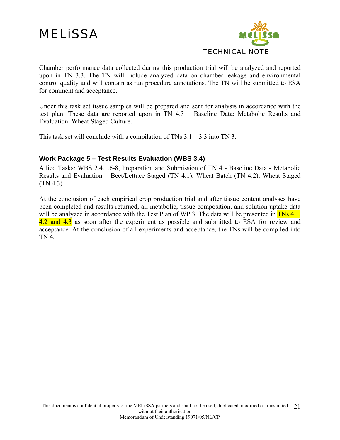<span id="page-22-0"></span>



Chamber performance data collected during this production trial will be analyzed and reported upon in TN 3.3. The TN will include analyzed data on chamber leakage and environmental control quality and will contain as run procedure annotations. The TN will be submitted to ESA for comment and acceptance.

Under this task set tissue samples will be prepared and sent for analysis in accordance with the test plan. These data are reported upon in TN 4.3 – Baseline Data: Metabolic Results and Evaluation: Wheat Staged Culture.

This task set will conclude with a compilation of TNs  $3.1 - 3.3$  into TN 3.

#### **Work Package 5 – Test Results Evaluation (WBS 3.4)**

Allied Tasks: WBS 2.4.1.6-8, Preparation and Submission of TN 4 - Baseline Data - Metabolic Results and Evaluation – Beet/Lettuce Staged (TN 4.1), Wheat Batch (TN 4.2), Wheat Staged (TN 4.3)

At the conclusion of each empirical crop production trial and after tissue content analyses have been completed and results returned, all metabolic, tissue composition, and solution uptake data will be analyzed in accordance with the Test Plan of WP 3. The data will be presented in  $\overline{INs 4.1}$ , 4.2 and 4.3 as soon after the experiment as possible and submitted to ESA for review and acceptance. At the conclusion of all experiments and acceptance, the TNs will be compiled into TN 4.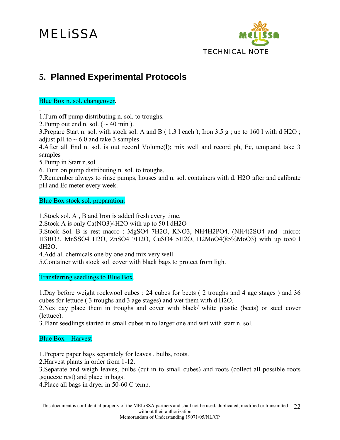

### <span id="page-23-0"></span>**5. Planned Experimental Protocols**

#### Blue Box n. sol. changeover.

.

1.Turn off pump distributing n. sol. to troughs.

2. Pump out end n. sol. ( $\sim$  40 min).

3.Prepare Start n. sol. with stock sol. A and B ( 1.3 l each ); Iron 3.5 g ; up to 160 l with d H2O ; adjust pH to  $\sim$  6.0 and take 3 samples.

4.After all End n. sol. is out record Volume(l); mix well and record ph, Ec, temp.and take 3 samples

5.Pump in Start n.sol.

6. Turn on pump distributing n. sol. to troughs.

7.Remember always to rinse pumps, houses and n. sol. containers with d. H2O after and calibrate pH and Ec meter every week.

#### Blue Box stock sol. preparation.

1.Stock sol. A , B and Iron is added fresh every time.

2.Stock A is only Ca(NO3)4H2O with up to 50 l dH2O

3.Stock Sol. B is rest macro : MgSO4 7H2O, KNO3, NH4H2PO4, (NH4)2SO4 and micro: H3BO3, MnSSO4 H2O, ZnSO4 7H2O, CuSO4 5H2O, H2MoO4(85%MoO3) with up to50 l dH2O.

4.Add all chemicals one by one and mix very well.

5.Container with stock sol. cover with black bags to protect from ligh.

Transferring seedlings to Blue Box.

1.Day before weight rockwool cubes : 24 cubes for beets ( 2 troughs and 4 age stages ) and 36 cubes for lettuce ( 3 troughs and 3 age stages) and wet them with d H2O.

2.Nex day place them in troughs and cover with black/ white plastic (beets) or steel cover (lettuce).

3.Plant seedlings started in small cubes in to larger one and wet with start n. sol.

#### Blue Box – Harvest

1.Prepare paper bags separately for leaves , bulbs, roots.

2.Harvest plants in order from 1-12.

3.Separate and weigh leaves, bulbs (cut in to small cubes) and roots (collect all possible roots ,squeeze rest) and place in bags.

4.Place all bags in dryer in 50-60 C temp.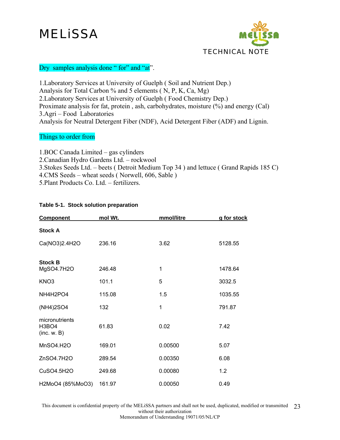

#### Dry samples analysis done " for" and "at".

1.Laboratory Services at University of Guelph ( Soil and Nutrient Dep.) Analysis for Total Carbon % and 5 elements ( N, P, K, Ca, Mg) 2.Laboratory Services at University of Guelph ( Food Chemistry Dep.) Proximate analysis for fat, protein , ash, carbohydrates, moisture (%) and energy (Cal) 3.Agri – Food Laboratories Analysis for Neutral Detergent Fiber (NDF), Acid Detergent Fiber (ADF) and Lignin.

#### Things to order from

1.BOC Canada Limited – gas cylinders 2.Canadian Hydro Gardens Ltd. – rockwool 3.Stokes Seeds Ltd. – beets ( Detroit Medium Top 34 ) and lettuce ( Grand Rapids 185 C) 4.CMS Seeds – wheat seeds ( Norwell, 606, Sable ) 5.Plant Products Co. Ltd. – fertilizers.

| <b>Component</b>                       | mol Wt. | mmol/litre | g for stock |
|----------------------------------------|---------|------------|-------------|
| <b>Stock A</b>                         |         |            |             |
| Ca(NO3)2.4H2O                          | 236.16  | 3.62       | 5128.55     |
| <b>Stock B</b><br>MgSO4.7H2O           | 246.48  | 1          | 1478.64     |
| KNO <sub>3</sub>                       | 101.1   | 5          | 3032.5      |
| NH4H2PO4                               | 115.08  | 1.5        | 1035.55     |
| (NH4)2SO4                              | 132     | 1          | 791.87      |
| micronutrients<br>H3BO4<br>(inc. w. B) | 61.83   | 0.02       | 7.42        |
| <b>MnSO4.H2O</b>                       | 169.01  | 0.00500    | 5.07        |
| ZnSO4.7H2O                             | 289.54  | 0.00350    | 6.08        |
| CuSO4.5H2O                             | 249.68  | 0.00080    | 1.2         |
| H2MoO4 (85%MoO3)                       | 161.97  | 0.00050    | 0.49        |

#### **Table 5-1. Stock solution preparation**

This document is confidential property of the MELISSA partners and shall not be used, duplicated, modified or transmitted 23 without their authorization Memorandum of Understanding 19071/05/NL/CP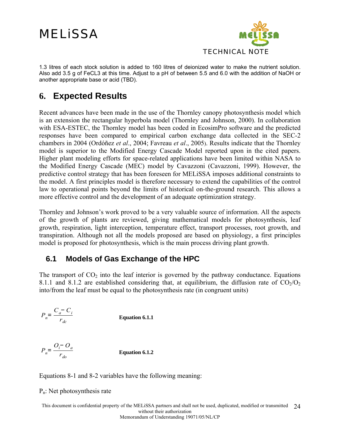

<span id="page-25-0"></span>1.3 litres of each stock solution is added to 160 litres of deionized water to make the nutrient solution. Also add 3.5 g of FeCL3 at this time. Adjust to a pH of between 5.5 and 6.0 with the addition of NaOH or another appropriate base or acid (TBD).

### **6. Expected Results**

Recent advances have been made in the use of the Thornley canopy photosynthesis model which is an extension the rectangular hyperbola model (Thornley and Johnson, 2000). In collaboration with ESA-ESTEC, the Thornley model has been coded in EcosimPro software and the predicted responses have been compared to empirical carbon exchange data collected in the SEC-2 chambers in 2004 (Ordóñez *et al*., 2004; Favreau *et al*., 2005). Results indicate that the Thornley model is superior to the Modified Energy Cascade Model reported upon in the cited papers. Higher plant modeling efforts for space-related applications have been limited within NASA to the Modified Energy Cascade (MEC) model by Cavazzoni (Cavazzoni, 1999). However, the predictive control strategy that has been foreseen for MELiSSA imposes additional constraints to the model. A first principles model is therefore necessary to extend the capabilities of the control law to operational points beyond the limits of historical on-the-ground research. This allows a more effective control and the development of an adequate optimization strategy.

Thornley and Johnson's work proved to be a very valuable source of information. All the aspects of the growth of plants are reviewed, giving mathematical models for photosynthesis, leaf growth, respiration, light interception, temperature effect, transport processes, root growth, and transpiration. Although not all the models proposed are based on physiology, a first principles model is proposed for photosynthesis, which is the main process driving plant growth.

### **6.1 Models of Gas Exchange of the HPC**

The transport of  $CO<sub>2</sub>$  into the leaf interior is governed by the pathway conductance. Equations 8.1.1 and 8.1.2 are established considering that, at equilibrium, the diffusion rate of  $CO<sub>2</sub>/O<sub>2</sub>$ into/from the leaf must be equal to the photosynthesis rate (in congruent units)

$$
P_n = \frac{C_a - C_i}{r_{dc}}
$$
 Equation 6.1.1

$$
P_n = \frac{O_i - O_a}{r_{do}}
$$
 Equation 6.1.2

Equations 8-1 and 8-2 variables have the following meaning:

#### Pn: Net photosynthesis rate

This document is confidential property of the MELISSA partners and shall not be used, duplicated, modified or transmitted 24 without their authorization Memorandum of Understanding 19071/05/NL/CP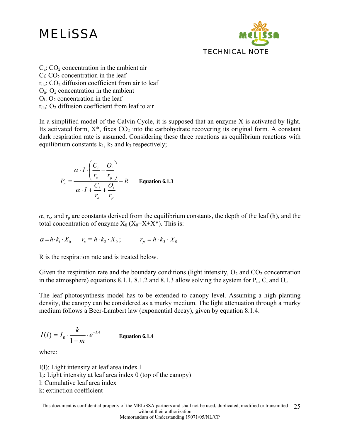

 $C_a$ :  $CO_2$  concentration in the ambient air  $C_i$ :  $CO_2$  concentration in the leaf  $r_{\text{dc}}$ : CO<sub>2</sub> diffusion coefficient from air to leaf  $O<sub>a</sub>: O<sub>2</sub> concentration in the ambient$  $O<sub>i</sub>: O<sub>2</sub> concentration in the leaf$  $r_{\text{do}}$ : O<sub>2</sub> diffusion coefficient from leaf to air

In a simplified model of the Calvin Cycle, it is supposed that an enzyme X is activated by light. Its activated form,  $X^*$ , fixes  $CO_2$  into the carbohydrate recovering its original form. A constant dark respiration rate is assumed. Considering these three reactions as equilibrium reactions with equilibrium constants  $k_1$ ,  $k_2$  and  $k_3$  respectively;

$$
P_n = \frac{\alpha \cdot I \cdot \left(\frac{C_i}{r_x} - \frac{O_i}{r_p}\right)}{\alpha \cdot I + \frac{C_i}{r_x} + \frac{O_i}{r_p}} - R
$$
 Equation 6.1.3

 $\alpha$ ,  $r_x$ , and  $r_p$  are constants derived from the equilibrium constants, the depth of the leaf (h), and the total concentration of enzyme  $X_0$  ( $X_0 = X + X^*$ ). This is:

$$
\alpha = h \cdot k_1 \cdot X_0 \qquad r_x = h \cdot k_2 \cdot X_0 \, ; \qquad \qquad r_p = h \cdot k_3 \cdot X_0
$$

R is the respiration rate and is treated below.

Given the respiration rate and the boundary conditions (light intensity,  $O_2$  and  $CO_2$  concentration in the atmosphere) equations 8.1.1, 8.1.2 and 8.1.3 allow solving the system for  $P_n$ ,  $C_i$  and  $O_i$ .

The leaf photosynthesis model has to be extended to canopy level. Assuming a high planting density, the canopy can be considered as a murky medium. The light attenuation through a murky medium follows a Beer-Lambert law (exponential decay), given by equation 8.1.4.

$$
I(l) = I_0 \cdot \frac{k}{1-m} \cdot e^{-k \cdot l}
$$
 Equation 6.1.4

where:

I(l): Light intensity at leaf area index l  $I<sub>0</sub>$ : Light intensity at leaf area index 0 (top of the canopy) l: Cumulative leaf area index k: extinction coefficient

This document is confidential property of the MELISSA partners and shall not be used, duplicated, modified or transmitted 25 without their authorization Memorandum of Understanding 19071/05/NL/CP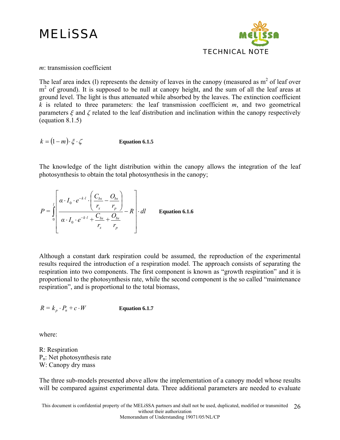



*m*: transmission coefficient

The leaf area index (1) represents the density of leaves in the canopy (measured as  $m<sup>2</sup>$  of leaf over m<sup>2</sup> of ground). It is supposed to be null at canopy height, and the sum of all the leaf areas at ground level. The light is thus attenuated while absorbed by the leaves. The extinction coefficient  $k$  is related to three parameters: the leaf transmission coefficient  $m$ , and two geometrical parameters  $\xi$  and  $\zeta$  related to the leaf distribution and inclination within the canopy respectively (equation 8.1.5)

 $k = (1 - m) \cdot \xi \cdot \zeta$  **Equation 6.1.5** 

The knowledge of the light distribution within the canopy allows the integration of the leaf photosynthesis to obtain the total photosynthesis in the canopy;

$$
P = \int_{0}^{l} \left[ \frac{\alpha \cdot I_0 \cdot e^{-k \cdot l} \cdot \left( \frac{C_{bs}}{r_x} - \frac{O_{bs}}{r_p} \right)}{\alpha \cdot I_0 \cdot e^{-k \cdot l} + \frac{C_{bs}}{r_x} + \frac{O_{bs}}{r_p}} - R \right] \cdot dl \qquad \text{Equation 6.1.6}
$$

Although a constant dark respiration could be assumed, the reproduction of the experimental results required the introduction of a respiration model. The approach consists of separating the respiration into two components. The first component is known as "growth respiration" and it is proportional to the photosynthesis rate, while the second component is the so called "maintenance respiration", and is proportional to the total biomass,

$$
R = k_p \cdot P_n + c \cdot W
$$
 Equation 6.1.7

where:

R: Respiration Pn: Net photosynthesis rate W: Canopy dry mass

The three sub-models presented above allow the implementation of a canopy model whose results will be compared against experimental data. Three additional parameters are needed to evaluate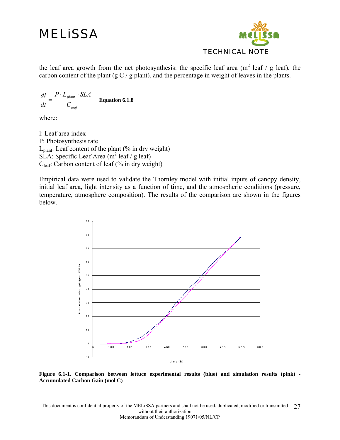



the leaf area growth from the net photosynthesis: the specific leaf area  $(m^2 \text{ leaf } / g \text{ leaf})$ , the carbon content of the plant (g C / g plant), and the percentage in weight of leaves in the plants.

$$
\frac{dl}{dt} = \frac{P \cdot L_{\text{plant}} \cdot SLA}{C_{\text{leaf}}}
$$
 Equation 6.1.8

where:

l: Leaf area index P: Photosynthesis rate  $L<sub>plant</sub>:$  Leaf content of the plant (% in dry weight)  $SLA$ : Specific Leaf Area (m<sup>2</sup> leaf / g leaf) C<sub>leaf</sub>: Carbon content of leaf (% in dry weight)

Empirical data were used to validate the Thornley model with initial inputs of canopy density, initial leaf area, light intensity as a function of time, and the atmospheric conditions (pressure, temperature, atmosphere composition). The results of the comparison are shown in the figures below.



**Figure 6.1-1. Comparison between lettuce experimental results (blue) and simulation results (pink) - Accumulated Carbon Gain (mol C)** 

This document is confidential property of the MELISSA partners and shall not be used, duplicated, modified or transmitted 27 without their authorization Memorandum of Understanding 19071/05/NL/CP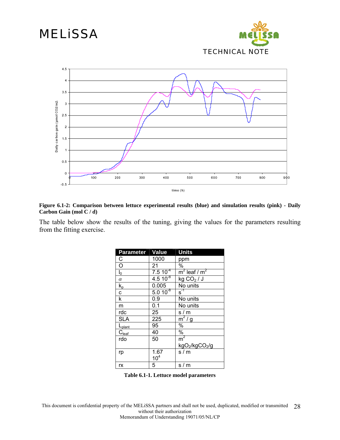



#### **Figure 6.1-2: Comparison between lettuce experimental results (blue) and simulation results (pink) - Daily Carbon Gain (mol C / d)**

The table below show the results of the tuning, giving the values for the parameters resulting from the fitting exercise.

| <b>Parameter</b>              | Value           | <b>Units</b>               |
|-------------------------------|-----------------|----------------------------|
| С                             | 1000            | ppm                        |
| $\overline{\rm o}$            | 21              | %                          |
| $I_0$                         | $7.510^{-4}$    | $m^2$ leaf / $m^2$         |
| $\alpha$                      | $4.5 10^{-8}$   | kg $CO2$ / J               |
| $\mathsf{k}_\mathsf{p}$       | 0.005           | No units                   |
| $\overline{\mathbf{c}}$       | $5.0 10^{-8}$   | $\overline{s}^{\text{-1}}$ |
| $\overline{\mathsf{k}}$       | 0.9             | No units                   |
| m                             | 0.1             | No units                   |
| rdc                           | 25              | s/m                        |
| <b>SLA</b>                    | 225             | $m^2/g$                    |
| L <sub>plant</sub>            | 95              | $\%$                       |
| $C_{\underline{\text{leaf}}}$ | 40              | $\%$                       |
| rdo                           | 50              | m <sup>2</sup>             |
|                               |                 | kgO2/kgCO2/g               |
| rp                            | 1.67            | s/m                        |
|                               | 10 <sup>4</sup> |                            |
| rx                            | $\overline{5}$  | s / m                      |

|  | Table 6.1-1. Lettuce model parameters |
|--|---------------------------------------|
|--|---------------------------------------|

This document is confidential property of the MELiSSA partners and shall not be used, duplicated, modified or transmitted 28 without their authorization Memorandum of Understanding 19071/05/NL/CP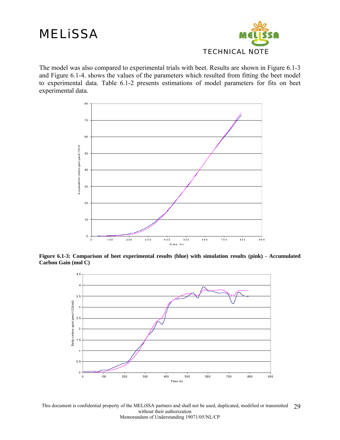

The model was also compared to experimental trials with beet. Results are shown in [Figure 6.1-3](#page-30-0) and [Figure 6.1-4.](#page-31-1) shows the values of the parameters which resulted from fitting the beet model to experimental data. [Table 6.1-](#page-31-2)2 presents estimations of model parameters for fits on beet experimental data.



<span id="page-30-0"></span>**Figure 6.1-3: Comparison of beet experimental results (blue) with simulation results (pink) - Accumulated Carbon Gain (mol C)** 



This document is confidential property of the MELISSA partners and shall not be used, duplicated, modified or transmitted 29 without their authorization Memorandum of Understanding 19071/05/NL/CP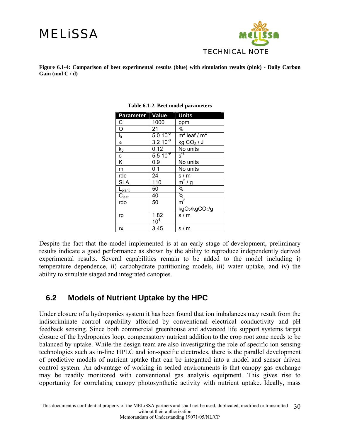

<span id="page-31-2"></span><span id="page-31-1"></span><span id="page-31-0"></span>**Figure 6.1-4: Comparison of beet experimental results (blue) with simulation results (pink) - Daily Carbon Gain (mol C / d)** 

| <b>Parameter</b>        | Value            | <b>Units</b>                           |
|-------------------------|------------------|----------------------------------------|
| C                       | 1000             | ppm                                    |
| $\overline{\rm o}$      | 21               | $\%$                                   |
| $I_0$                   | $5.010^{-3}$     | $m^2$ leaf / $m^2$                     |
| $\alpha$                | $3.2~10^{-8}$    | kg $CO2$ / J                           |
| $k_{p}$                 | 0.12             | No units                               |
| $\overline{\mathbf{c}}$ | $5.510^{-9}$     | $\overline{s}^{^{-1}}$                 |
| K                       | 0.9              | No units                               |
| m                       | $\overline{0.1}$ | No units                               |
| rdc                     | 24               | s/m                                    |
| <b>SLA</b>              | 110              | $m^2/g$                                |
| L <sub>plant</sub>      | 50               | $\frac{1}{2}$                          |
| $C_{\text{leaf}}$       | 40               | $\frac{1}{2}$                          |
| rdo                     | 50               | m <sup>2</sup>                         |
|                         |                  | kgO <sub>2</sub> /kgCO <sub>2</sub> /g |
| rp                      | 1.82             | s/m                                    |
|                         | 10 <sup>4</sup>  |                                        |
| rx                      | 3.45             | s / m                                  |

**Table 6.1-2. Beet model parameters** 

Despite the fact that the model implemented is at an early stage of development, preliminary results indicate a good performance as shown by the ability to reproduce independently derived experimental results. Several capabilities remain to be added to the model including i) temperature dependence, ii) carbohydrate partitioning models, iii) water uptake, and iv) the ability to simulate staged and integrated canopies.

### **6.2 Models of Nutrient Uptake by the HPC**

Under closure of a hydroponics system it has been found that ion imbalances may result from the indiscriminate control capability afforded by conventional electrical conductivity and pH feedback sensing. Since both commercial greenhouse and advanced life support systems target closure of the hydroponics loop, compensatory nutrient addition to the crop root zone needs to be balanced by uptake. While the design team are also investigating the role of specific ion sensing technologies such as in-line HPLC and ion-specific electrodes, there is the parallel development of predictive models of nutrient uptake that can be integrated into a model and sensor driven control system. An advantage of working in sealed environments is that canopy gas exchange may be readily monitored with conventional gas analysis equipment. This gives rise to opportunity for correlating canopy photosynthetic activity with nutrient uptake. Ideally, mass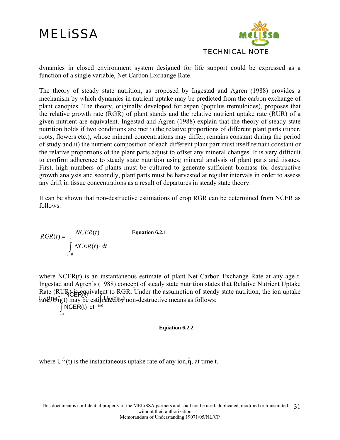

dynamics in closed environment system designed for life support could be expressed as a function of a single variable, Net Carbon Exchange Rate.

The theory of steady state nutrition, as proposed by Ingestad and Agren (1988) provides a mechanism by which dynamics in nutrient uptake may be predicted from the carbon exchange of plant canopies. The theory, originally developed for aspen (populus tremuloides), proposes that the relative growth rate (RGR) of plant stands and the relative nutrient uptake rate (RUR) of a given nutrient are equivalent. Ingestad and Agren (1988) explain that the theory of steady state nutrition holds if two conditions are met i) the relative proportions of different plant parts (tuber, roots, flowers etc.), whose mineral concentrations may differ, remains constant during the period of study and ii) the nutrient composition of each different plant part must itself remain constant or the relative proportions of the plant parts adjust to offset any mineral changes. It is very difficult to confirm adherence to steady state nutrition using mineral analysis of plant parts and tissues. First, high numbers of plants must be cultured to generate sufficient biomass for destructive growth analysis and secondly, plant parts must be harvested at regular intervals in order to assess any drift in tissue concentrations as a result of departures in steady state theory.

It can be shown that non-destructive estimations of crop RGR can be determined from NCER as follows:

$$
RGR(t) = \frac{NCER(t)}{\int_{t=0}^{t} NCER(t) \cdot dt}
$$
 Equation 6.2.1

where NCER(t) is an instantaneous estimate of plant Net Carbon Exchange Rate at any age t. Ingestad and Agren's (1988) concept of steady state nutrition states that Relative Nutrient Uptake Rate (RUR) is equivalent to RGR. Under the assumption of steady state nutrition, the ion uptake Rate (RU **K) ER(quivalent to RGR.** Under the assumption of steady<br>
Ha(t) U m(t) may be estimated by non-destructive means as follows:<br>
∫ NCER(t) · dt <sup>t=0</sup>

 $NCER(t) \cdot dt$ <sup>t=0</sup> =  $t = 0$ 

#### **Equation 6.2.2**

where  $U_{\mathcal{U}}(t)$  is the instantaneous uptake rate of any ion,  $\tilde{\eta}$ , at time t.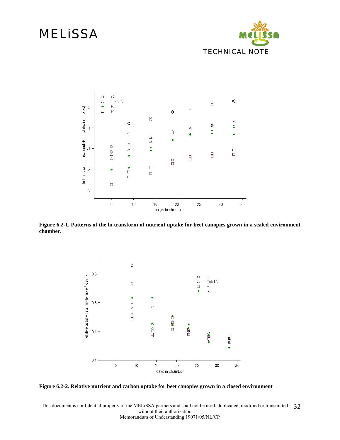



**Figure 6.2-1. Patterns of the ln transform of nutrient uptake for beet canopies grown in a sealed environment chamber.** 



**Figure 6.2-2. Relative nutrient and carbon uptake for beet canopies grown in a closed environment** 

This document is confidential property of the MELiSSA partners and shall not be used, duplicated, modified or transmitted without their authorization Memorandum of Understanding 19071/05/NL/CP 32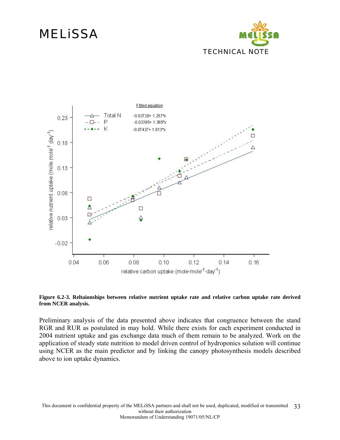



#### **Figure 6.2-3. Reltaionships between relative nutrient uptake rate and relative carbon uptake rate derived from NCER analysis.**

Preliminary analysis of the data presented above indicates that congruence between the stand RGR and RUR as postulated in may hold. While there exists for each experiment conducted in 2004 nutrient uptake and gas exchange data much of them remain to be analyzed. Work on the application of steady state nutrition to model driven control of hydroponics solution will continue using NCER as the main predictor and by linking the canopy photosynthesis models described above to ion uptake dynamics.

This document is confidential property of the MELiSSA partners and shall not be used, duplicated, modified or transmitted 33 without their authorization Memorandum of Understanding 19071/05/NL/CP